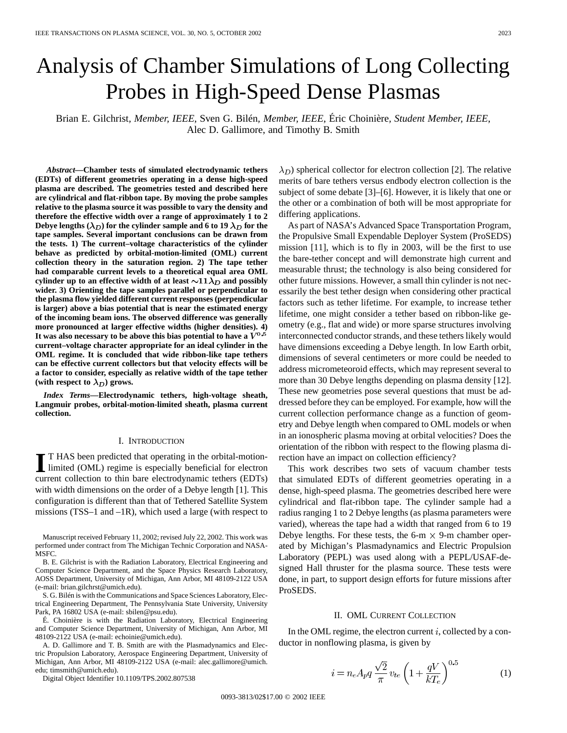# Analysis of Chamber Simulations of Long Collecting Probes in High-Speed Dense Plasmas

Brian E. Gilchrist*, Member, IEEE*, Sven G. Bilén*, Member, IEEE*, Éric Choinière*, Student Member, IEEE*, Alec D. Gallimore, and Timothy B. Smith

*Abstract—***Chamber tests of simulated electrodynamic tethers (EDTs) of different geometries operating in a dense high-speed plasma are described. The geometries tested and described here are cylindrical and flat-ribbon tape. By moving the probe samples relative to the plasma source it was possible to vary the density and therefore the effective width over a range of approximately 1 to 2 Debye lengths (** $\lambda_D$ **) for the cylinder sample and 6 to 19**  $\lambda_D$  **for the tape samples. Several important conclusions can be drawn from the tests. 1) The current–voltage characteristics of the cylinder behave as predicted by orbital-motion-limited (OML) current collection theory in the saturation region. 2) The tape tether had comparable current levels to a theoretical equal area OML** cylinder up to an effective width of at least  $\sim 11 \lambda_D$  and possibly **wider. 3) Orienting the tape samples parallel or perpendicular to the plasma flow yielded different current responses (perpendicular is larger) above a bias potential that is near the estimated energy of the incoming beam ions. The observed difference was generally more pronounced at larger effective widths (higher densities). 4)** It was also necessary to be above this bias potential to have a  $\dot{V}^{0.5}$ **current–voltage character appropriate for an ideal cylinder in the OML regime. It is concluded that wide ribbon-like tape tethers can be effective current collectors but that velocity effects will be a factor to consider, especially as relative width of the tape tether** (with respect to  $\lambda_D$ ) grows.

*Index Terms—***Electrodynamic tethers, high-voltage sheath, Langmuir probes, orbital-motion-limited sheath, plasma current collection.**

# I. INTRODUCTION

**I** T HAS been predicted that operating in the orbital-motion-<br>limited (OML) regime is especially beneficial for electron<br>waves allotting to this have also the demandia telesco (EDTs) current collection to thin bare electrodynamic tethers (EDTs) with width dimensions on the order of a Debye length [1]. This configuration is different than that of Tethered Satellite System missions (TSS–1 and –1R), which used a large (with respect to

Manuscript received February 11, 2002; revised July 22, 2002. This work was performed under contract from The Michigan Technic Corporation and NASA-MSFC.

B. E. Gilchrist is with the Radiation Laboratory, Electrical Engineering and Computer Science Department, and the Space Physics Research Laboratory, AOSS Department, University of Michigan, Ann Arbor, MI 48109-2122 USA (e-mail: brian.gilchrst@umich.edu).

S. G. Bilén is with the Communications and Space Sciences Laboratory, Electrical Engineering Department, The Pennsylvania State University, University Park, PA 16802 USA (e-mail: sbilen@psu.edu).

É. Choinière is with the Radiation Laboratory, Electrical Engineering and Computer Science Department, University of Michigan, Ann Arbor, MI 48109-2122 USA (e-mail: echoinie@umich.edu).

A. D. Gallimore and T. B. Smith are with the Plasmadynamics and Electric Propulsion Laboratory, Aerospace Engineering Department, University of Michigan, Ann Arbor, MI 48109-2122 USA (e-mail: alec.gallimore@umich. edu; timsmith@umich.edu).

Digital Object Identifier 10.1109/TPS.2002.807538

 $(\lambda_D)$  spherical collector for electron collection [2]. The relative merits of bare tethers versus endbody electron collection is the subject of some debate [3]–[6]. However, it is likely that one or the other or a combination of both will be most appropriate for differing applications.

As part of NASA's Advanced Space Transportation Program, the Propulsive Small Expendable Deployer System (ProSEDS) mission [11], which is to fly in 2003, will be the first to use the bare-tether concept and will demonstrate high current and measurable thrust; the technology is also being considered for other future missions. However, a small thin cylinder is not necessarily the best tether design when considering other practical factors such as tether lifetime. For example, to increase tether lifetime, one might consider a tether based on ribbon-like geometry (e.g., flat and wide) or more sparse structures involving interconnected conductor strands, and these tethers likely would have dimensions exceeding a Debye length. In low Earth orbit, dimensions of several centimeters or more could be needed to address micrometeoroid effects, which may represent several to more than 30 Debye lengths depending on plasma density [12]. These new geometries pose several questions that must be addressed before they can be employed. For example, how will the current collection performance change as a function of geometry and Debye length when compared to OML models or when in an ionospheric plasma moving at orbital velocities? Does the orientation of the ribbon with respect to the flowing plasma direction have an impact on collection efficiency?

This work describes two sets of vacuum chamber tests that simulated EDTs of different geometries operating in a dense, high-speed plasma. The geometries described here were cylindrical and flat-ribbon tape. The cylinder sample had a radius ranging 1 to 2 Debye lengths (as plasma parameters were varied), whereas the tape had a width that ranged from 6 to 19 Debye lengths. For these tests, the 6-m  $\times$  9-m chamber operated by Michigan's Plasmadynamics and Electric Propulsion Laboratory (PEPL) was used along with a PEPL/USAF-designed Hall thruster for the plasma source. These tests were done, in part, to support design efforts for future missions after ProSEDS.

# II. OML CURRENT COLLECTION

In the OML regime, the electron current  $i$ , collected by a conductor in nonflowing plasma, is given by

$$
i = n_e A_p q \frac{\sqrt{2}}{\pi} v_{te} \left( 1 + \frac{qV}{kT_e} \right)^{0.5}
$$
 (1)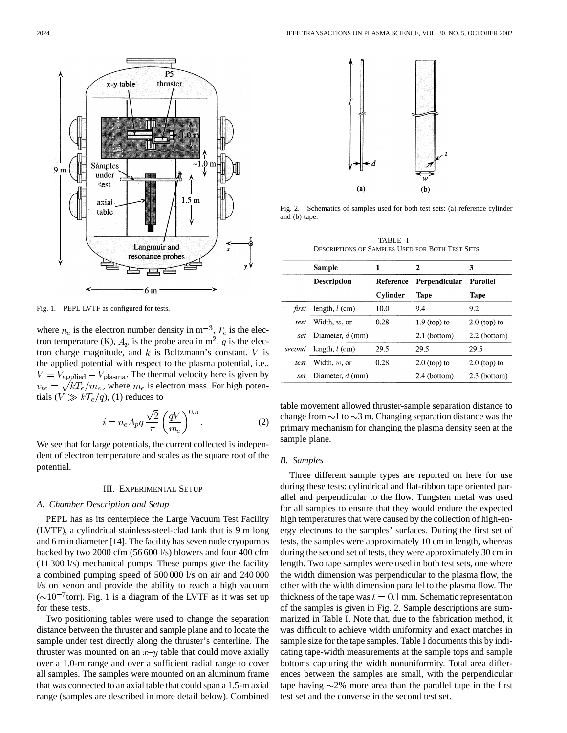

Fig. 1. PEPL LVTF as configured for tests.

where  $n_e$  is the electron number density in  $m^{-3}$ ,  $T_e$  is the electron temperature (K),  $A_p$  is the probe area in m<sup>2</sup>, q is the electron charge magnitude, and  $k$  is Boltzmann's constant.  $V$  is the applied potential with respect to the plasma potential, i.e.,  $V = V_{\text{applied}} - V_{\text{plasma}}$ . The thermal velocity here is given by  $v_{te} = \sqrt{kT_e/m_e}$ , where  $m_e$  is electron mass. For high potentials  $(V \gg kT_e/q)$ , (1) reduces to

$$
i = n_e A_p q \frac{\sqrt{2}}{\pi} \left(\frac{qV}{m_e}\right)^{0.5}.
$$
 (2)

We see that for large potentials, the current collected is independent of electron temperature and scales as the square root of the potential.

# III. EXPERIMENTAL SETUP

# *A. Chamber Description and Setup*

PEPL has as its centerpiece the Large Vacuum Test Facility (LVTF), a cylindrical stainless-steel-clad tank that is 9 m long and 6 m in diameter [14]. The facility has seven nude cryopumps backed by two 2000 cfm (56 600 l/s) blowers and four 400 cfm (11 300 l/s) mechanical pumps. These pumps give the facility a combined pumping speed of 500 000 l/s on air and 240 000 l/s on xenon and provide the ability to reach a high vacuum  $({\sim}10^{-7}$ torr). Fig. 1 is a diagram of the LVTF as it was set up for these tests.

Two positioning tables were used to change the separation distance between the thruster and sample plane and to locate the sample under test directly along the thruster's centerline. The thruster was mounted on an  $x-y$  table that could move axially over a 1.0-m range and over a sufficient radial range to cover all samples. The samples were mounted on an aluminum frame that was connected to an axial table that could span a 1.5-m axial range (samples are described in more detail below). Combined



Fig. 2. Schematics of samples used for both test sets: (a) reference cylinder and (b) tape.

| TABLE I                                                |  |  |  |  |  |  |  |
|--------------------------------------------------------|--|--|--|--|--|--|--|
| <b>DESCRIPTIONS OF SAMPLES USED FOR BOTH TEST SETS</b> |  |  |  |  |  |  |  |

|        | Sample             | 1         | 2              | 3               |
|--------|--------------------|-----------|----------------|-----------------|
|        | <b>Description</b> | Reference | Perpendicular  | <b>Parallel</b> |
|        |                    | Cylinder  | <b>Tape</b>    | <b>Tape</b>     |
| first  | length, $l$ (cm)   | 10.0      | 9.4            | 9.2             |
| test   | Width, $w$ , or    | 0.28      | $1.9$ (top) to | $2.0$ (top) to  |
| set    | Diameter, $d$ (mm) |           | 2.1 (bottom)   | $2.2$ (bottom)  |
| second | length, $l$ (cm)   | 29.5      | 29.5           | 29.5            |
| test   | Width, $w$ , or    | 0.28      | $2.0$ (top) to | $2.0$ (top) to  |
| set    | Diameter, $d$ (mm) |           | 2.4 (bottom)   | 2.3 (bottom)    |

table movement allowed thruster-sample separation distance to change from  $\sim$ 1 to  $\sim$ 3 m. Changing separation distance was the primary mechanism for changing the plasma density seen at the sample plane.

## *B. Samples*

Three different sample types are reported on here for use during these tests: cylindrical and flat-ribbon tape oriented parallel and perpendicular to the flow. Tungsten metal was used for all samples to ensure that they would endure the expected high temperatures that were caused by the collection of high-energy electrons to the samples' surfaces. During the first set of tests, the samples were approximately 10 cm in length, whereas during the second set of tests, they were approximately 30 cm in length. Two tape samples were used in both test sets, one where the width dimension was perpendicular to the plasma flow, the other with the width dimension parallel to the plasma flow. The thickness of the tape was  $t = 0.1$  mm. Schematic representation of the samples is given in Fig. 2. Sample descriptions are summarized in Table I. Note that, due to the fabrication method, it was difficult to achieve width uniformity and exact matches in sample size for the tape samples. Table I documents this by indicating tape-width measurements at the sample tops and sample bottoms capturing the width nonuniformity. Total area differences between the samples are small, with the perpendicular tape having  $\sim$ 2% more area than the parallel tape in the first test set and the converse in the second test set.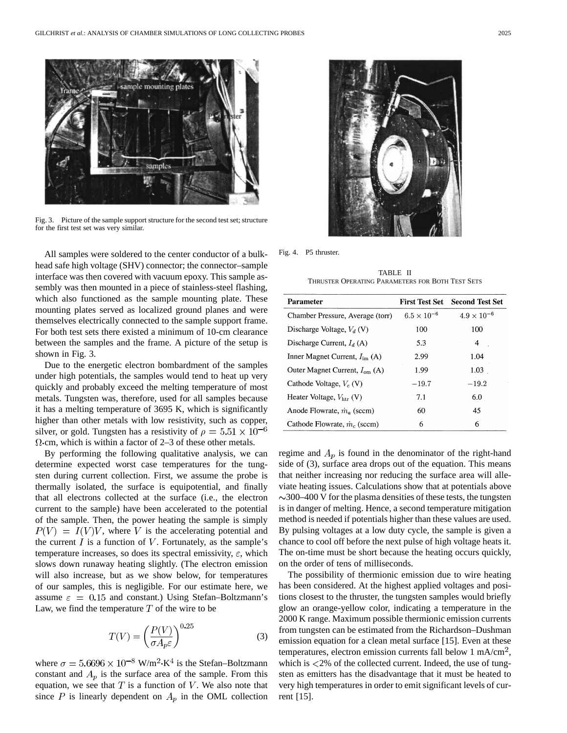

Fig. 3. Picture of the sample support structure for the second test set; structure for the first test set was very similar.

All samples were soldered to the center conductor of a bulkhead safe high voltage (SHV) connector; the connector–sample interface was then covered with vacuum epoxy. This sample assembly was then mounted in a piece of stainless-steel flashing, which also functioned as the sample mounting plate. These mounting plates served as localized ground planes and were themselves electrically connected to the sample support frame. For both test sets there existed a minimum of 10-cm clearance between the samples and the frame. A picture of the setup is shown in Fig. 3.

Due to the energetic electron bombardment of the samples under high potentials, the samples would tend to heat up very quickly and probably exceed the melting temperature of most metals. Tungsten was, therefore, used for all samples because it has a melting temperature of 3695 K, which is significantly higher than other metals with low resistivity, such as copper, silver, or gold. Tungsten has a resistivity of  $\rho = 5.51 \times 10^{-6}$  $\Omega$ ·cm, which is within a factor of 2–3 of these other metals.

By performing the following qualitative analysis, we can determine expected worst case temperatures for the tungsten during current collection. First, we assume the probe is thermally isolated, the surface is equipotential, and finally that all electrons collected at the surface (i.e., the electron current to the sample) have been accelerated to the potential of the sample. Then, the power heating the sample is simply  $P(V) = I(V)V$ , where V is the accelerating potential and the current  $I$  is a function of  $V$ . Fortunately, as the sample's temperature increases, so does its spectral emissivity,  $\varepsilon$ , which slows down runaway heating slightly. (The electron emission will also increase, but as we show below, for temperatures of our samples, this is negligible. For our estimate here, we assume  $\varepsilon = 0.15$  and constant.) Using Stefan–Boltzmann's Law, we find the temperature  $T$  of the wire to be

$$
T(V) = \left(\frac{P(V)}{\sigma A_p \varepsilon}\right)^{0.25}
$$
 (3)

where  $\sigma = 5.6696 \times 10^{-8}$  W/m<sup>2</sup>·K<sup>4</sup> is the Stefan–Boltzmann constant and  $A_p$  is the surface area of the sample. From this equation, we see that  $T$  is a function of  $V$ . We also note that since P is linearly dependent on  $A_p$  in the OML collection



Fig. 4. P5 thruster.

TABLE II THRUSTER OPERATING PARAMETERS FOR BOTH TEST SETS

| <b>Parameter</b>                         | <b>First Test Set</b> | <b>Second Test Set</b> |  |
|------------------------------------------|-----------------------|------------------------|--|
| Chamber Pressure, Average (torr)         | $6.5 \times 10^{-6}$  | $4.9 \times 10^{-6}$   |  |
| Discharge Voltage, $V_d$ (V)             | 100                   | 100                    |  |
| Discharge Current, $I_d(A)$              | 5.3                   | 4                      |  |
| Inner Magnet Current, $I_{im}$ (A)       | 2.99                  | 1.04                   |  |
| Outer Magnet Current, $I_{\text{om}}(A)$ | 1.99                  | 1.03                   |  |
| Cathode Voltage, $V_c$ (V)               | $-19.7$               | $-19.2$                |  |
| Heater Voltage, $V_{\text{htr}}$ (V)     | $-7.1$                | 6.0                    |  |
| Anode Flowrate, $\dot{m}_o$ (sccm)       | 60                    | 45                     |  |
| Cathode Flowrate, $\dot{m}_c$ (sccm)     | 6                     | 6                      |  |

regime and  $A_p$  is found in the denominator of the right-hand side of (3), surface area drops out of the equation. This means that neither increasing nor reducing the surface area will alleviate heating issues. Calculations show that at potentials above  $\sim$ 300–400 V for the plasma densities of these tests, the tungsten is in danger of melting. Hence, a second temperature mitigation method is needed if potentials higher than these values are used. By pulsing voltages at a low duty cycle, the sample is given a chance to cool off before the next pulse of high voltage heats it. The on-time must be short because the heating occurs quickly, on the order of tens of milliseconds.

The possibility of thermionic emission due to wire heating has been considered. At the highest applied voltages and positions closest to the thruster, the tungsten samples would briefly glow an orange-yellow color, indicating a temperature in the 2000 K range. Maximum possible thermionic emission currents from tungsten can be estimated from the Richardson–Dushman emission equation for a clean metal surface [15]. Even at these temperatures, electron emission currents fall below 1 mA/cm<sup>2</sup>, which is  $\langle 2\%$  of the collected current. Indeed, the use of tungsten as emitters has the disadvantage that it must be heated to very high temperatures in order to emit significant levels of current [15].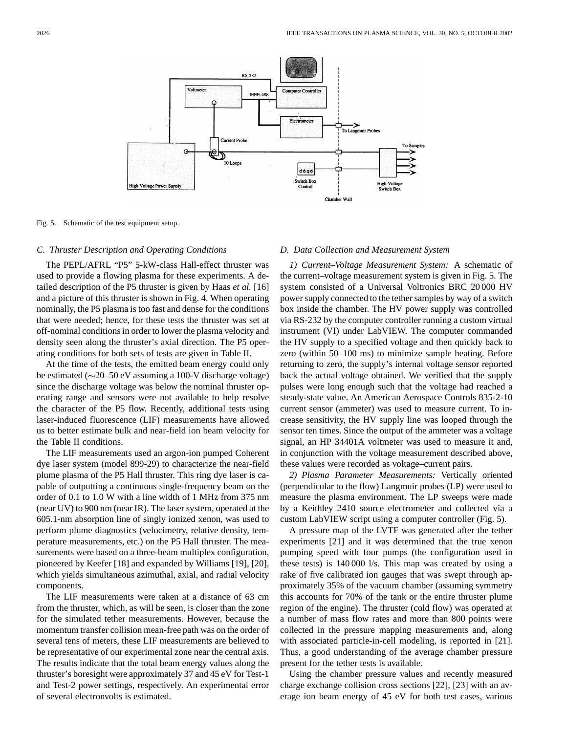

Fig. 5. Schematic of the test equipment setup.

## *C. Thruster Description and Operating Conditions*

The PEPL/AFRL "P5" 5-kW-class Hall-effect thruster was used to provide a flowing plasma for these experiments. A detailed description of the P5 thruster is given by Haas *et al.* [16] and a picture of this thruster is shown in Fig. 4. When operating nominally, the P5 plasma is too fast and dense for the conditions that were needed; hence, for these tests the thruster was set at off-nominal conditions in order to lower the plasma velocity and density seen along the thruster's axial direction. The P5 operating conditions for both sets of tests are given in Table II.

At the time of the tests, the emitted beam energy could only be estimated ( $\sim$ 20–50 eV assuming a 100-V discharge voltage) since the discharge voltage was below the nominal thruster operating range and sensors were not available to help resolve the character of the P5 flow. Recently, additional tests using laser-induced fluorescence (LIF) measurements have allowed us to better estimate bulk and near-field ion beam velocity for the Table II conditions.

The LIF measurements used an argon-ion pumped Coherent dye laser system (model 899-29) to characterize the near-field plume plasma of the P5 Hall thruster. This ring dye laser is capable of outputting a continuous single-frequency beam on the order of 0.1 to 1.0 W with a line width of 1 MHz from 375 nm (near UV) to 900 nm (near IR). The laser system, operated at the 605.1-nm absorption line of singly ionized xenon, was used to perform plume diagnostics (velocimetry, relative density, temperature measurements, etc.) on the P5 Hall thruster. The measurements were based on a three-beam multiplex configuration, pioneered by Keefer [18] and expanded by Williams [19], [20], which yields simultaneous azimuthal, axial, and radial velocity components.

The LIF measurements were taken at a distance of 63 cm from the thruster, which, as will be seen, is closer than the zone for the simulated tether measurements. However, because the momentum transfer collision mean-free path was on the order of several tens of meters, these LIF measurements are believed to be representative of our experimental zone near the central axis. The results indicate that the total beam energy values along the thruster's boresight were approximately 37 and 45 eV for Test-1 and Test-2 power settings, respectively. An experimental error of several electronvolts is estimated.

## *D. Data Collection and Measurement System*

*1) Current–Voltage Measurement System:* A schematic of the current–voltage measurement system is given in Fig. 5. The system consisted of a Universal Voltronics BRC 20 000 HV power supply connected to the tether samples by way of a switch box inside the chamber. The HV power supply was controlled via RS-232 by the computer controller running a custom virtual instrument (VI) under LabVIEW. The computer commanded the HV supply to a specified voltage and then quickly back to zero (within 50–100 ms) to minimize sample heating. Before returning to zero, the supply's internal voltage sensor reported back the actual voltage obtained. We verified that the supply pulses were long enough such that the voltage had reached a steady-state value. An American Aerospace Controls 835-2-10 current sensor (ammeter) was used to measure current. To increase sensitivity, the HV supply line was looped through the sensor ten times. Since the output of the ammeter was a voltage signal, an HP 34401A voltmeter was used to measure it and, in conjunction with the voltage measurement described above, these values were recorded as voltage–current pairs.

*2) Plasma Parameter Measurements:* Vertically oriented (perpendicular to the flow) Langmuir probes (LP) were used to measure the plasma environment. The LP sweeps were made by a Keithley 2410 source electrometer and collected via a custom LabVIEW script using a computer controller (Fig. 5).

A pressure map of the LVTF was generated after the tether experiments [21] and it was determined that the true xenon pumping speed with four pumps (the configuration used in these tests) is 140 000 l/s. This map was created by using a rake of five calibrated ion gauges that was swept through approximately 35% of the vacuum chamber (assuming symmetry this accounts for 70% of the tank or the entire thruster plume region of the engine). The thruster (cold flow) was operated at a number of mass flow rates and more than 800 points were collected in the pressure mapping measurements and, along with associated particle-in-cell modeling, is reported in [21]. Thus, a good understanding of the average chamber pressure present for the tether tests is available.

Using the chamber pressure values and recently measured charge exchange collision cross sections [22], [23] with an average ion beam energy of 45 eV for both test cases, various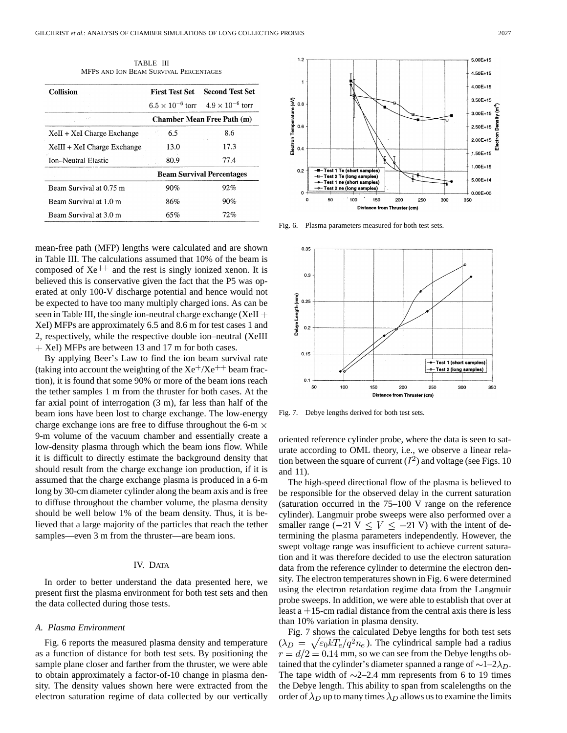| <b>Collision</b>            | <b>First Test Set</b>             | <b>Second Test Set</b>                              |  |
|-----------------------------|-----------------------------------|-----------------------------------------------------|--|
|                             |                                   | $6.5 \times 10^{-6}$ torr $4.9 \times 10^{-6}$ torr |  |
|                             | <b>Chamber Mean Free Path (m)</b> |                                                     |  |
| XeII + XeI Charge Exchange  | 6.5                               | 8.6                                                 |  |
| XeIII + XeI Charge Exchange | 13.0                              | 17.3                                                |  |
| Ion-Neutral Elastic         | 80.9                              | 77.4                                                |  |
|                             | <b>Beam Survival Percentages</b>  |                                                     |  |
| Beam Survival at 0.75 m     | 90%                               | 92%                                                 |  |
| Beam Survival at 1.0 m      | 86%                               | 90%                                                 |  |
| Beam Survival at 3.0 m      | 65%                               | 72%                                                 |  |

TABLE III MFPS AND ION BEAM SURVIVAL PERCENTAGES

mean-free path (MFP) lengths were calculated and are shown in Table III. The calculations assumed that 10% of the beam is composed of  $Xe^{++}$  and the rest is singly ionized xenon. It is believed this is conservative given the fact that the P5 was operated at only 100-V discharge potential and hence would not be expected to have too many multiply charged ions. As can be seen in Table III, the single ion-neutral charge exchange  $(XeII +$ XeI) MFPs are approximately 6.5 and 8.6 m for test cases 1 and 2, respectively, while the respective double ion–neutral (XeIII + XeI) MFPs are between 13 and 17 m for both cases.

By applying Beer's Law to find the ion beam survival rate (taking into account the weighting of the  $Xe^+/Xe^++$  beam fraction), it is found that some 90% or more of the beam ions reach the tether samples 1 m from the thruster for both cases. At the far axial point of interrogation (3 m), far less than half of the beam ions have been lost to charge exchange. The low-energy charge exchange ions are free to diffuse throughout the 6-m  $\times$ 9-m volume of the vacuum chamber and essentially create a low-density plasma through which the beam ions flow. While it is difficult to directly estimate the background density that should result from the charge exchange ion production, if it is assumed that the charge exchange plasma is produced in a 6-m long by 30-cm diameter cylinder along the beam axis and is free to diffuse throughout the chamber volume, the plasma density should be well below 1% of the beam density. Thus, it is believed that a large majority of the particles that reach the tether samples—even 3 m from the thruster—are beam ions.

# IV. DATA

In order to better understand the data presented here, we present first the plasma environment for both test sets and then the data collected during those tests.

## *A. Plasma Environment*

Fig. 6 reports the measured plasma density and temperature as a function of distance for both test sets. By positioning the sample plane closer and farther from the thruster, we were able to obtain approximately a factor-of-10 change in plasma density. The density values shown here were extracted from the electron saturation regime of data collected by our vertically



Fig. 6. Plasma parameters measured for both test sets.



Fig. 7. Debye lengths derived for both test sets.

oriented reference cylinder probe, where the data is seen to saturate according to OML theory, i.e., we observe a linear relation between the square of current  $(I^2)$  and voltage (see Figs. 10) and 11).

The high-speed directional flow of the plasma is believed to be responsible for the observed delay in the current saturation (saturation occurred in the 75–100 V range on the reference cylinder). Langmuir probe sweeps were also performed over a smaller range (-21 V  $\leq$  V  $\leq$  +21 V) with the intent of determining the plasma parameters independently. However, the swept voltage range was insufficient to achieve current saturation and it was therefore decided to use the electron saturation data from the reference cylinder to determine the electron density. The electron temperatures shown in Fig. 6 were determined using the electron retardation regime data from the Langmuir probe sweeps. In addition, we were able to establish that over at least a  $\pm 15$ -cm radial distance from the central axis there is less than 10% variation in plasma density.

Fig. 7 shows the calculated Debye lengths for both test sets  $(\lambda_D = \sqrt{\epsilon_0 k T_e / q^2 n_e})$ . The cylindrical sample had a radius  $r = d/2 = 0.14$  mm, so we can see from the Debye lengths obtained that the cylinder's diameter spanned a range of  $\sim 1-2\lambda_D$ . The tape width of  $\sim$ 2–2.4 mm represents from 6 to 19 times the Debye length. This ability to span from scalelengths on the order of  $\lambda_D$  up to many times  $\lambda_D$  allows us to examine the limits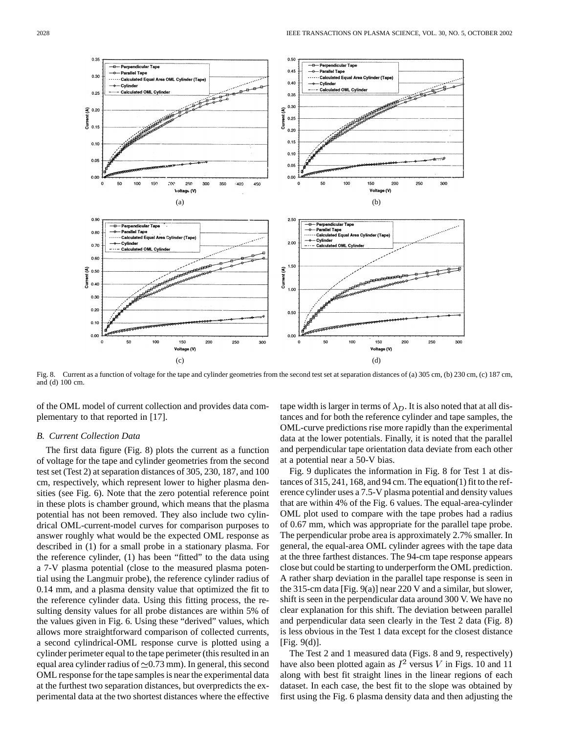

Fig. 8. Current as a function of voltage for the tape and cylinder geometries from the second test set at separation distances of (a) 305 cm, (b) 230 cm, (c) 187 cm, and (d) 100 cm.

of the OML model of current collection and provides data complementary to that reported in [17].

# *B. Current Collection Data*

The first data figure (Fig. 8) plots the current as a function of voltage for the tape and cylinder geometries from the second test set (Test 2) at separation distances of 305, 230, 187, and 100 cm, respectively, which represent lower to higher plasma densities (see Fig. 6). Note that the zero potential reference point in these plots is chamber ground, which means that the plasma potential has not been removed. They also include two cylindrical OML-current-model curves for comparison purposes to answer roughly what would be the expected OML response as described in (1) for a small probe in a stationary plasma. For the reference cylinder, (1) has been "fitted" to the data using a 7-V plasma potential (close to the measured plasma potential using the Langmuir probe), the reference cylinder radius of 0.14 mm, and a plasma density value that optimized the fit to the reference cylinder data. Using this fitting process, the resulting density values for all probe distances are within 5% of the values given in Fig. 6. Using these "derived" values, which allows more straightforward comparison of collected currents, a second cylindrical-OML response curve is plotted using a cylinder perimeter equal to the tape perimeter (this resulted in an equal area cylinder radius of  $\approx 0.73$  mm). In general, this second OML response for the tape samples is near the experimental data at the furthest two separation distances, but overpredicts the experimental data at the two shortest distances where the effective tape width is larger in terms of  $\lambda_D$ . It is also noted that at all distances and for both the reference cylinder and tape samples, the OML-curve predictions rise more rapidly than the experimental data at the lower potentials. Finally, it is noted that the parallel and perpendicular tape orientation data deviate from each other at a potential near a 50-V bias.

Fig. 9 duplicates the information in Fig. 8 for Test 1 at distances of 315, 241, 168, and 94 cm. The equation(1) fit to the reference cylinder uses a 7.5-V plasma potential and density values that are within 4% of the Fig. 6 values. The equal-area-cylinder OML plot used to compare with the tape probes had a radius of 0.67 mm, which was appropriate for the parallel tape probe. The perpendicular probe area is approximately 2.7% smaller. In general, the equal-area OML cylinder agrees with the tape data at the three farthest distances. The 94-cm tape response appears close but could be starting to underperform the OML prediction. A rather sharp deviation in the parallel tape response is seen in the 315-cm data [Fig. 9(a)] near 220 V and a similar, but slower, shift is seen in the perpendicular data around 300 V. We have no clear explanation for this shift. The deviation between parallel and perpendicular data seen clearly in the Test 2 data (Fig. 8) is less obvious in the Test 1 data except for the closest distance [Fig. 9(d)].

The Test 2 and 1 measured data (Figs. 8 and 9, respectively) have also been plotted again as  $I^2$  versus V in Figs. 10 and 11 along with best fit straight lines in the linear regions of each dataset. In each case, the best fit to the slope was obtained by first using the Fig. 6 plasma density data and then adjusting the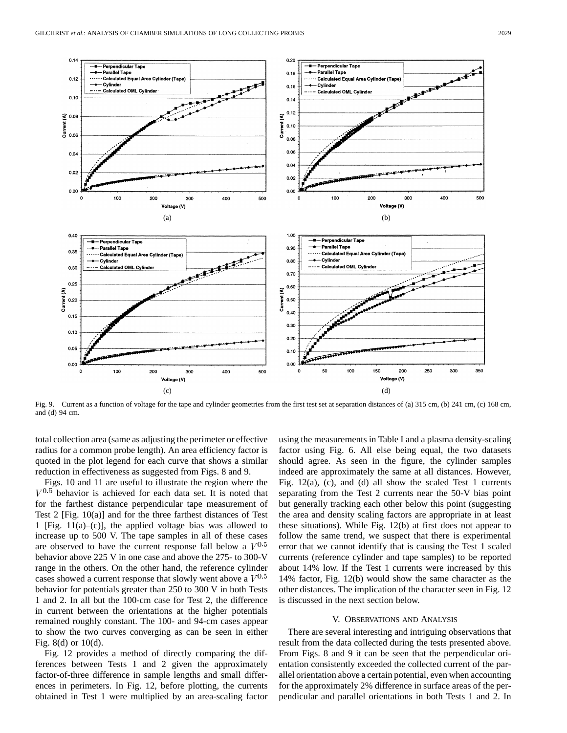

Fig. 9. Current as a function of voltage for the tape and cylinder geometries from the first test set at separation distances of (a) 315 cm, (b) 241 cm, (c) 168 cm, and (d) 94 cm.

total collection area (same as adjusting the perimeter or effective radius for a common probe length). An area efficiency factor is quoted in the plot legend for each curve that shows a similar reduction in effectiveness as suggested from Figs. 8 and 9.

Figs. 10 and 11 are useful to illustrate the region where the  $V^{0.5}$  behavior is achieved for each data set. It is noted that for the farthest distance perpendicular tape measurement of Test 2 [Fig. 10(a)] and for the three farthest distances of Test 1 [Fig.  $11(a)$ –(c)], the applied voltage bias was allowed to increase up to 500 V. The tape samples in all of these cases are observed to have the current response fall below a  $V^{0.5}$ behavior above 225 V in one case and above the 275- to 300-V range in the others. On the other hand, the reference cylinder cases showed a current response that slowly went above a  $V^{0.5}$ behavior for potentials greater than 250 to 300 V in both Tests 1 and 2. In all but the 100-cm case for Test 2, the difference in current between the orientations at the higher potentials remained roughly constant. The 100- and 94-cm cases appear to show the two curves converging as can be seen in either Fig. 8(d) or 10(d).

Fig. 12 provides a method of directly comparing the differences between Tests 1 and 2 given the approximately factor-of-three difference in sample lengths and small differences in perimeters. In Fig. 12, before plotting, the currents obtained in Test 1 were multiplied by an area-scaling factor

using the measurements in Table I and a plasma density-scaling factor using Fig. 6. All else being equal, the two datasets should agree. As seen in the figure, the cylinder samples indeed are approximately the same at all distances. However, Fig. 12(a), (c), and (d) all show the scaled Test 1 currents separating from the Test 2 currents near the 50-V bias point but generally tracking each other below this point (suggesting the area and density scaling factors are appropriate in at least these situations). While Fig. 12(b) at first does not appear to follow the same trend, we suspect that there is experimental error that we cannot identify that is causing the Test 1 scaled currents (reference cylinder and tape samples) to be reported about 14% low. If the Test 1 currents were increased by this 14% factor, Fig. 12(b) would show the same character as the other distances. The implication of the character seen in Fig. 12 is discussed in the next section below.

# V. OBSERVATIONS AND ANALYSIS

There are several interesting and intriguing observations that result from the data collected during the tests presented above. From Figs. 8 and 9 it can be seen that the perpendicular orientation consistently exceeded the collected current of the parallel orientation above a certain potential, even when accounting for the approximately 2% difference in surface areas of the perpendicular and parallel orientations in both Tests 1 and 2. In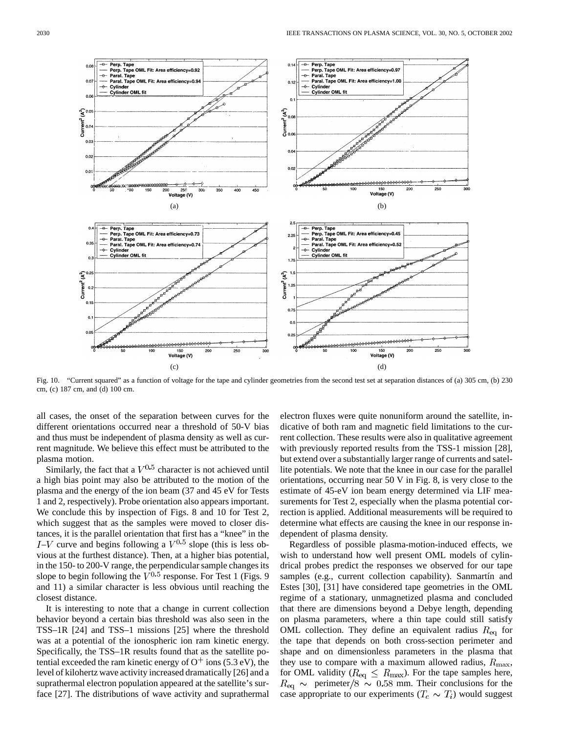

Fig. 10. "Current squared" as a function of voltage for the tape and cylinder geometries from the second test set at separation distances of (a) 305 cm, (b) 230 cm, (c) 187 cm, and (d) 100 cm.

all cases, the onset of the separation between curves for the different orientations occurred near a threshold of 50-V bias and thus must be independent of plasma density as well as current magnitude. We believe this effect must be attributed to the plasma motion.

Similarly, the fact that a  $V^{0.5}$  character is not achieved until a high bias point may also be attributed to the motion of the plasma and the energy of the ion beam (37 and 45 eV for Tests 1 and 2, respectively). Probe orientation also appears important. We conclude this by inspection of Figs. 8 and 10 for Test 2, which suggest that as the samples were moved to closer distances, it is the parallel orientation that first has a "knee" in the  $I-V$  curve and begins following a  $V^{0.5}$  slope (this is less obvious at the furthest distance). Then, at a higher bias potential, in the 150- to 200-V range, the perpendicular sample changes its slope to begin following the  $\overline{V}^{0.5}$  response. For Test 1 (Figs. 9) and 11) a similar character is less obvious until reaching the closest distance.

It is interesting to note that a change in current collection behavior beyond a certain bias threshold was also seen in the TSS–1R [24] and TSS–1 missions [25] where the threshold was at a potential of the ionospheric ion ram kinetic energy. Specifically, the TSS–1R results found that as the satellite potential exceeded the ram kinetic energy of  $O<sup>+</sup>$  ions (5.3 eV), the level of kilohertz wave activity increased dramatically [26] and a suprathermal electron population appeared at the satellite's surface [27]. The distributions of wave activity and suprathermal electron fluxes were quite nonuniform around the satellite, indicative of both ram and magnetic field limitations to the current collection. These results were also in qualitative agreement with previously reported results from the TSS-1 mission [28], but extend over a substantially larger range of currents and satellite potentials. We note that the knee in our case for the parallel orientations, occurring near 50 V in Fig. 8, is very close to the estimate of 45-eV ion beam energy determined via LIF measurements for Test 2, especially when the plasma potential correction is applied. Additional measurements will be required to determine what effects are causing the knee in our response independent of plasma density.

Regardless of possible plasma-motion-induced effects, we wish to understand how well present OML models of cylindrical probes predict the responses we observed for our tape samples (e.g., current collection capability). Sanmartín and Estes [30], [31] have considered tape geometries in the OML regime of a stationary, unmagnetized plasma and concluded that there are dimensions beyond a Debye length, depending on plasma parameters, where a thin tape could still satisfy OML collection. They define an equivalent radius  $R_{eq}$  for the tape that depends on both cross-section perimeter and shape and on dimensionless parameters in the plasma that they use to compare with a maximum allowed radius,  $R_{\text{max}}$ , for OML validity ( $R_{\text{eq}} \leq R_{\text{max}}$ ). For the tape samples here,  $R_{\rm eq} \sim$  perimeter/8  $\sim$  0.58 mm. Their conclusions for the case appropriate to our experiments ( $T_e \sim T_i$ ) would suggest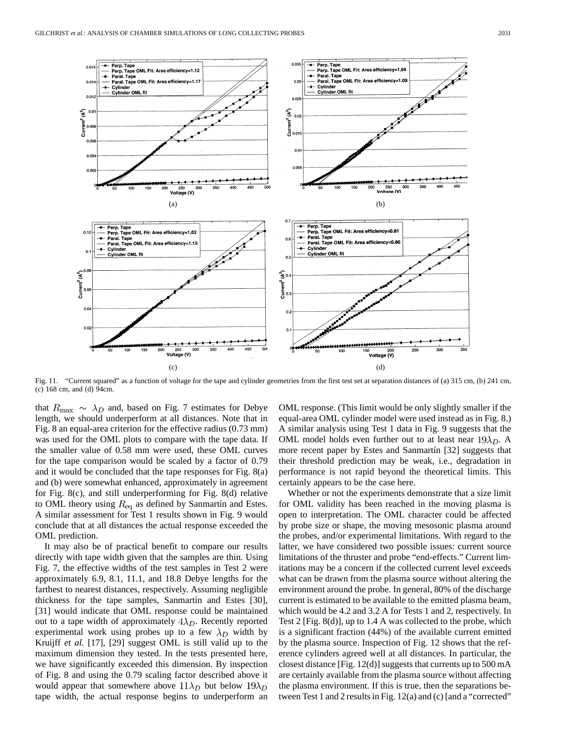

Fig. 11. "Current squared" as a function of voltage for the tape and cylinder geometries from the first test set at separation distances of (a) 315 cm, (b) 241 cm, (c) 168 cm, and (d) 94cm.

that  $R_{\text{max}} \sim \lambda_D$  and, based on Fig. 7 estimates for Debye length, we should underperform at all distances. Note that in Fig. 8 an equal-area criterion for the effective radius (0.73 mm) was used for the OML plots to compare with the tape data. If the smaller value of 0.58 mm were used, these OML curves for the tape comparison would be scaled by a factor of 0.79 and it would be concluded that the tape responses for Fig. 8(a) and (b) were somewhat enhanced, approximately in agreement for Fig. 8(c), and still underperforming for Fig. 8(d) relative to OML theory using  $R_{\text{eq}}$  as defined by Sanmartín and Estes. A similar assessment for Test 1 results shown in Fig. 9 would conclude that at all distances the actual response exceeded the OML prediction.

It may also be of practical benefit to compare our results directly with tape width given that the samples are thin. Using Fig. 7, the effective widths of the test samples in Test 2 were approximately 6.9, 8.1, 11.1, and 18.8 Debye lengths for the farthest to nearest distances, respectively. Assuming negligible thickness for the tape samples, Sanmartín and Estes [30], [31] would indicate that OML response could be maintained out to a tape width of approximately  $4\lambda_D$ . Recently reported experimental work using probes up to a few  $\lambda_D$  width by Kruijff *et al.* [17], [29] suggest OML is still valid up to the maximum dimension they tested. In the tests presented here, we have significantly exceeded this dimension. By inspection of Fig. 8 and using the 0.79 scaling factor described above it would appear that somewhere above  $11\lambda_D$  but below  $19\lambda_D$ tape width, the actual response begins to underperform an OML response. (This limit would be only slightly smaller if the equal-area OML cylinder model were used instead as in Fig. 8.) A similar analysis using Test 1 data in Fig. 9 suggests that the OML model holds even further out to at least near  $19\lambda_D$ . A more recent paper by Estes and Sanmartín [32] suggests that their threshold prediction may be weak, i.e., degradation in performance is not rapid beyond the theoretical limits. This certainly appears to be the case here.

Whether or not the experiments demonstrate that a size limit for OML validity has been reached in the moving plasma is open to interpretation. The OML character could be affected by probe size or shape, the moving mesosonic plasma around the probes, and/or experimental limitations. With regard to the latter, we have considered two possible issues: current source limitations of the thruster and probe "end-effects." Current limitations may be a concern if the collected current level exceeds what can be drawn from the plasma source without altering the environment around the probe. In general, 80% of the discharge current is estimated to be available to the emitted plasma beam, which would be 4.2 and 3.2 A for Tests 1 and 2, respectively. In Test 2 [Fig. 8(d)], up to 1.4 A was collected to the probe, which is a significant fraction (44%) of the available current emitted by the plasma source. Inspection of Fig. 12 shows that the reference cylinders agreed well at all distances. In particular, the closest distance [Fig. 12(d)] suggests that currents up to 500 mA are certainly available from the plasma source without affecting the plasma environment. If this is true, then the separations between Test 1 and 2 results in Fig. 12(a) and (c) [and a "corrected"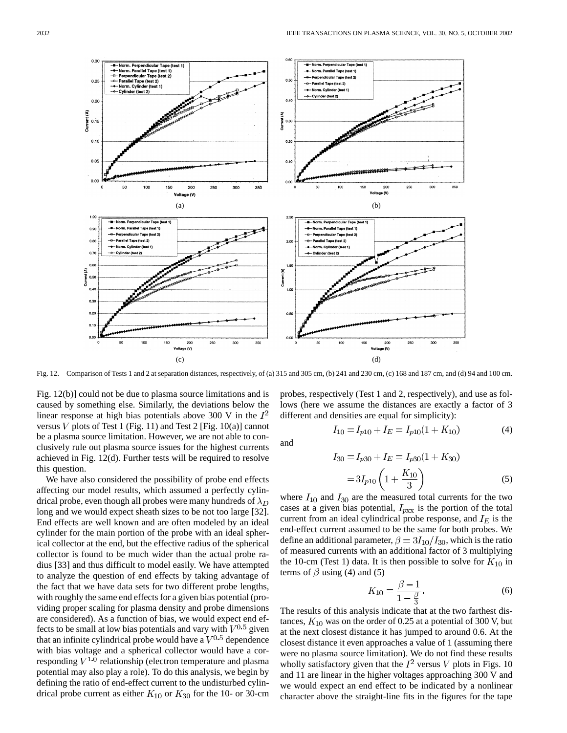

Fig. 12. Comparison of Tests 1 and 2 at separation distances, respectively, of (a) 315 and 305 cm, (b) 241 and 230 cm, (c) 168 and 187 cm, and (d) 94 and 100 cm.

Fig. 12(b)] could not be due to plasma source limitations and is caused by something else. Similarly, the deviations below the linear response at high bias potentials above 300 V in the  $I^2$ versus  $V$  plots of Test 1 (Fig. 11) and Test 2 [Fig. 10(a)] cannot be a plasma source limitation. However, we are not able to conclusively rule out plasma source issues for the highest currents achieved in Fig. 12(d). Further tests will be required to resolve this question.

We have also considered the possibility of probe end effects affecting our model results, which assumed a perfectly cylindrical probe, even though all probes were many hundreds of  $\lambda_D$ long and we would expect sheath sizes to be not too large [32]. End effects are well known and are often modeled by an ideal cylinder for the main portion of the probe with an ideal spherical collector at the end, but the effective radius of the spherical collector is found to be much wider than the actual probe radius [33] and thus difficult to model easily. We have attempted to analyze the question of end effects by taking advantage of the fact that we have data sets for two different probe lengths, with roughly the same end effects for a given bias potential (providing proper scaling for plasma density and probe dimensions are considered). As a function of bias, we would expect end effects to be small at low bias potentials and vary with  $V^{0.5}$  given that an infinite cylindrical probe would have a  $V^{0.5}$  dependence with bias voltage and a spherical collector would have a corresponding  $V^{1,0}$  relationship (electron temperature and plasma potential may also play a role). To do this analysis, we begin by defining the ratio of end-effect current to the undisturbed cylindrical probe current as either  $K_{10}$  or  $K_{30}$  for the 10- or 30-cm probes, respectively (Test 1 and 2, respectively), and use as follows (here we assume the distances are exactly a factor of 3 different and densities are equal for simplicity):

$$
I_{10} = I_{p10} + I_E = I_{p10}(1 + K_{10})
$$
\n(4)

and

$$
I_{30} = I_{p30} + I_E = I_{p30}(1 + K_{30})
$$
  
=  $3I_{p10} \left(1 + \frac{K_{10}}{3}\right)$  (5)

where  $I_{10}$  and  $I_{30}$  are the measured total currents for the two cases at a given bias potential,  $I_{pxx}$  is the portion of the total current from an ideal cylindrical probe response, and  $I_E$  is the end-effect current assumed to be the same for both probes. We define an additional parameter,  $\beta = 3I_{10}/I_{30}$ , which is the ratio of measured currents with an additional factor of 3 multiplying the 10-cm (Test 1) data. It is then possible to solve for  $K_{10}$  in terms of  $\beta$  using (4) and (5)

$$
K_{10} = \frac{\beta - 1}{1 - \frac{\beta}{3}}.
$$
\n(6)

The results of this analysis indicate that at the two farthest distances,  $K_{10}$  was on the order of 0.25 at a potential of 300 V, but at the next closest distance it has jumped to around 0.6. At the closest distance it even approaches a value of 1 (assuming there were no plasma source limitation). We do not find these results wholly satisfactory given that the  $I^2$  versus V plots in Figs. 10 and 11 are linear in the higher voltages approaching 300 V and we would expect an end effect to be indicated by a nonlinear character above the straight-line fits in the figures for the tape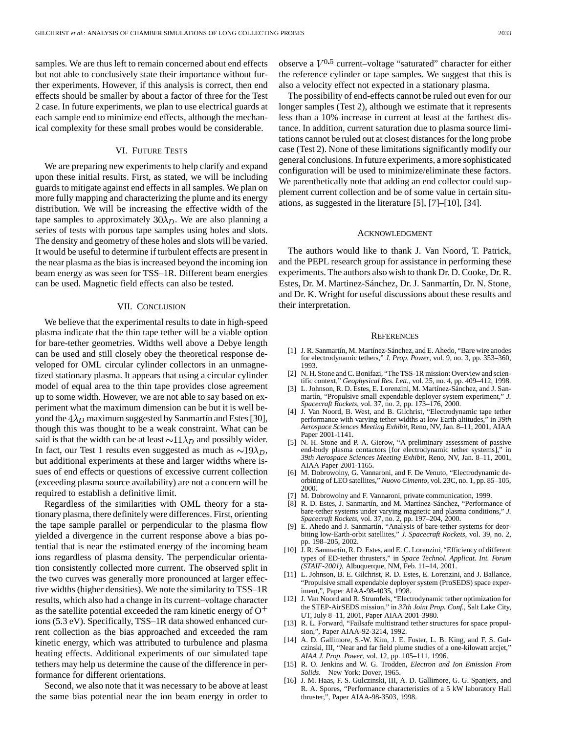samples. We are thus left to remain concerned about end effects but not able to conclusively state their importance without further experiments. However, if this analysis is correct, then end effects should be smaller by about a factor of three for the Test 2 case. In future experiments, we plan to use electrical guards at each sample end to minimize end effects, although the mechanical complexity for these small probes would be considerable.

# VI. FUTURE TESTS

We are preparing new experiments to help clarify and expand upon these initial results. First, as stated, we will be including guards to mitigate against end effects in all samples. We plan on more fully mapping and characterizing the plume and its energy distribution. We will be increasing the effective width of the tape samples to approximately  $30\lambda_D$ . We are also planning a series of tests with porous tape samples using holes and slots. The density and geometry of these holes and slots will be varied. It would be useful to determine if turbulent effects are present in the near plasma as the bias is increased beyond the incoming ion beam energy as was seen for TSS–1R. Different beam energies can be used. Magnetic field effects can also be tested.

## VII. CONCLUSION

We believe that the experimental results to date in high-speed plasma indicate that the thin tape tether will be a viable option for bare-tether geometries. Widths well above a Debye length can be used and still closely obey the theoretical response developed for OML circular cylinder collectors in an unmagnetized stationary plasma. It appears that using a circular cylinder model of equal area to the thin tape provides close agreement up to some width. However, we are not able to say based on experiment what the maximum dimension can be but it is well beyond the  $4\lambda_D$  maximum suggested by Sanmartín and Estes [30], though this was thought to be a weak constraint. What can be said is that the width can be at least  $\sim 11 \lambda_D$  and possibly wider. In fact, our Test 1 results even suggested as much as  $\sim 19 \lambda_D$ , but additional experiments at these and larger widths where issues of end effects or questions of excessive current collection (exceeding plasma source availability) are not a concern will be required to establish a definitive limit.

Regardless of the similarities with OML theory for a stationary plasma, there definitely were differences. First, orienting the tape sample parallel or perpendicular to the plasma flow yielded a divergence in the current response above a bias potential that is near the estimated energy of the incoming beam ions regardless of plasma density. The perpendicular orientation consistently collected more current. The observed split in the two curves was generally more pronounced at larger effective widths (higher densities). We note the similarity to TSS–1R results, which also had a change in its current–voltage character as the satellite potential exceeded the ram kinetic energy of  $O<sup>+</sup>$ ions (5.3 eV). Specifically, TSS–1R data showed enhanced current collection as the bias approached and exceeded the ram kinetic energy, which was attributed to turbulence and plasma heating effects. Additional experiments of our simulated tape tethers may help us determine the cause of the difference in performance for different orientations.

Second, we also note that it was necessary to be above at least the same bias potential near the ion beam energy in order to

observe a  $V^{0.5}$  current–voltage "saturated" character for either the reference cylinder or tape samples. We suggest that this is also a velocity effect not expected in a stationary plasma.

The possibility of end-effects cannot be ruled out even for our longer samples (Test 2), although we estimate that it represents less than a 10% increase in current at least at the farthest distance. In addition, current saturation due to plasma source limitations cannot be ruled out at closest distances for the long probe case (Test 2). None of these limitations significantly modify our general conclusions. In future experiments, a more sophisticated configuration will be used to minimize/eliminate these factors. We parenthetically note that adding an end collector could supplement current collection and be of some value in certain situations, as suggested in the literature [5], [7]–[10], [34].

### ACKNOWLEDGMENT

The authors would like to thank J. Van Noord, T. Patrick, and the PEPL research group for assistance in performing these experiments. The authors also wish to thank Dr. D. Cooke, Dr. R. Estes, Dr. M. Martinez-Sánchez, Dr. J. Sanmartín, Dr. N. Stone, and Dr. K. Wright for useful discussions about these results and their interpretation.

#### **REFERENCES**

- [1] J. R. Sanmartín, M. Martínez-Sánchez, and E. Ahedo, "Bare wire anodes for electrodynamic tethers," *J. Prop. Power*, vol. 9, no. 3, pp. 353–360, 1993.
- [2] N. H. Stone and C. Bonifazi, "The TSS-1R mission: Overview and scientific context," *Geophysical Res. Lett.*, vol. 25, no. 4, pp. 409–412, 1998.
- [3] L. Johnson, R. D. Estes, E. Lorenzini, M. Martínez-Sánchez, and J. Sanmartín, "Propulsive small expendable deployer system experiment," *J. Spacecraft Rockets*, vol. 37, no. 2, pp. 173–176, 2000.
- [4] J. Van Noord, B. West, and B. Gilchrist, "Electrodynamic tape tether performance with varying tether widths at low Earth altitudes," in *39th Aerospace Sciences Meeting Exhibit*, Reno, NV, Jan. 8–11, 2001, AIAA Paper 2001-1141.
- [5] N. H. Stone and P. A. Gierow, "A preliminary assessment of passive end-body plasma contactors [for electrodynamic tether systems]," in *39th Aerospace Sciences Meeting Exhibit*, Reno, NV, Jan. 8–11, 2001, AIAA Paper 2001-1165.
- [6] M. Dobrowolny, G. Vannaroni, and F. De Venuto, "Electrodynamic deorbiting of LEO satellites," *Nuovo Cimento*, vol. 23C, no. 1, pp. 85–105, 2000.
- M. Dobrowolny and F. Vannaroni, private communication, 1999.
- [8] R. D. Estes, J. Sanmartín, and M. Martínez-Sánchez, "Performance of bare-tether systems under varying magnetic and plasma conditions," *J. Spacecraft Rockets*, vol. 37, no. 2, pp. 197–204, 2000.
- [9] E. Ahedo and J. Sanmartín, "Analysis of bare-tether systems for deorbiting low-Earth-orbit satellites," *J. Spacecraft Rockets*, vol. 39, no. 2, pp. 198–205, 2002.
- [10] J. R. Sanmartín, R. D. Estes, and E. C. Lorenzini, "Efficiency of different types of ED-tether thrusters," in *Space Technol. Applicat. Int. Forum (STAIF-2001)*, Albuquerque, NM, Feb. 11–14, 2001.
- [11] L. Johnson, B. E. Gilchrist, R. D. Estes, E. Lorenzini, and J. Ballance, "Propulsive small expendable deployer system (ProSEDS) space experiment,", Paper AIAA-98-4035, 1998.
- [12] J. Van Noord and R. Strumfels, "Electrodynamic tether optimization for the STEP-AirSEDS mission," in *37th Joint Prop. Conf.*, Salt Lake City, UT, July 8–11, 2001, Paper AIAA 2001-3980.
- [13] R. L. Forward, "Failsafe multistrand tether structures for space propulsion,", Paper AIAA-92-3214, 1992.
- [14] A. D. Gallimore, S.-W. Kim, J. E. Foster, L. B. King, and F. S. Gulczinski, III, "Near and far field plume studies of a one-kilowatt arcjet," *AIAA J. Prop. Power*, vol. 12, pp. 105–111, 1996.
- [15] R. O. Jenkins and W. G. Trodden, *Electron and Ion Emission From Solids*. New York: Dover, 1965.
- [16] J. M. Haas, F. S. Gulczinski, III, A. D. Gallimore, G. G. Spanjers, and R. A. Spores, "Performance characteristics of a 5 kW laboratory Hall thruster,", Paper AIAA-98-3503, 1998.